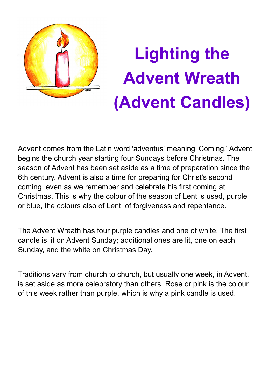

# **Lighting the Advent Wreath (Advent Candles)**

Advent comes from the Latin word 'adventus' meaning 'Coming.' Advent begins the church year starting four Sundays before Christmas. The season of Advent has been set aside as a time of preparation since the 6th century. Advent is also a time for preparing for Christ's second coming, even as we remember and celebrate his first coming at Christmas. This is why the colour of the season of Lent is used, purple or blue, the colours also of Lent, of forgiveness and repentance.

The Advent Wreath has four purple candles and one of white. The first candle is lit on Advent Sunday; additional ones are lit, one on each Sunday, and the white on Christmas Day.

Traditions vary from church to church, but usually one week, in Advent, is set aside as more celebratory than others. Rose or pink is the colour of this week rather than purple, which is why a pink candle is used.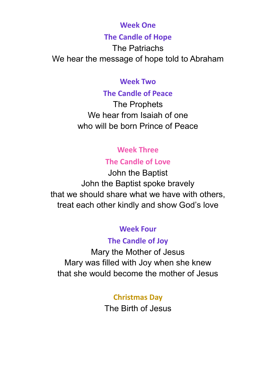#### **Week One**

#### **The Candle of Hope**

The Patriachs We hear the message of hope told to Abraham

#### **Week Two**

#### **The Candle of Peace**

The Prophets We hear from Isaiah of one who will be born Prince of Peace

# **Week Three**

# **The Candle of Love**

John the Baptist John the Baptist spoke bravely that we should share what we have with others, treat each other kindly and show God's love

# **Week Four**

## **The Candle of Joy**

Mary the Mother of Jesus Mary was filled with Joy when she knew that she would become the mother of Jesus

# **Christmas Day**

The Birth of Jesus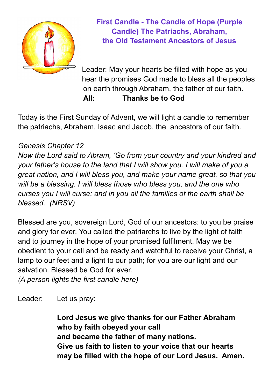

**First Candle - The Candle of Hope (Purple Candle) The Patriachs, Abraham, the Old Testament Ancestors of Jesus**

Leader: May your hearts be filled with hope as you hear the promises God made to bless all the peoples on earth through Abraham, the father of our faith. **All: Thanks be to God**

Today is the First Sunday of Advent, we will light a candle to remember the patriachs, Abraham, Isaac and Jacob, the ancestors of our faith.

#### *Genesis Chapter 12*

*Now the Lord said to Abram, 'Go from your country and your kindred and your father's house to the land that I will show you. I will make of you a great nation, and I will bless you, and make your name great, so that you will be a blessing. I will bless those who bless you, and the one who curses you I will curse; and in you all the families of the earth shall be blessed. (NRSV)*

Blessed are you, sovereign Lord, God of our ancestors: to you be praise and glory for ever. You called the patriarchs to live by the light of faith and to journey in the hope of your promised fulfilment. May we be obedient to your call and be ready and watchful to receive your Christ, a lamp to our feet and a light to our path; for you are our light and our salvation. Blessed be God for ever.

*(A person lights the first candle here)*

Leader: Let us pray:

**Lord Jesus we give thanks for our Father Abraham who by faith obeyed your call and became the father of many nations. Give us faith to listen to your voice that our hearts may be filled with the hope of our Lord Jesus. Amen.**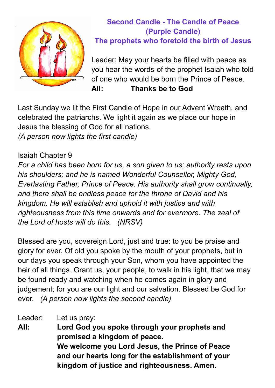

# **Second Candle - The Candle of Peace (Purple Candle) The prophets who foretold the birth of Jesus**

Leader: May your hearts be filled with peace as you hear the words of the prophet Isaiah who told of one who would be born the Prince of Peace. **All: Thanks be to God**

Last Sunday we lit the First Candle of Hope in our Advent Wreath, and celebrated the patriarchs. We light it again as we place our hope in Jesus the blessing of God for all nations. *(A person now lights the first candle)*

#### Isaiah Chapter 9

*For a child has been born for us, a son given to us; authority rests upon his shoulders; and he is named Wonderful Counsellor, Mighty God, Everlasting Father, Prince of Peace. His authority shall grow continually, and there shall be endless peace for the throne of David and his kingdom. He will establish and uphold it with justice and with righteousness from this time onwards and for evermore. The zeal of the Lord of hosts will do this. (NRSV)*

Blessed are you, sovereign Lord, just and true: to you be praise and glory for ever. Of old you spoke by the mouth of your prophets, but in our days you speak through your Son, whom you have appointed the heir of all things. Grant us, your people, to walk in his light, that we may be found ready and watching when he comes again in glory and judgement; for you are our light and our salvation. Blessed be God for ever. *(A person now lights the second candle)*

Leader: Let us pray: **All: Lord God you spoke through your prophets and promised a kingdom of peace. We welcome you Lord Jesus, the Prince of Peace and our hearts long for the establishment of your kingdom of justice and righteousness. Amen.**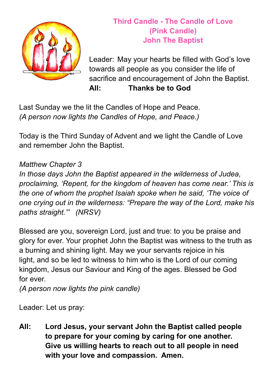

# **Third Candle - The Candle of Love (Pink Candle) John The Baptist**

Leader: May your hearts be filled with God's love towards all people as you consider the life of sacrifice and encouragement of John the Baptist. **All: Thanks be to God**

Last Sunday we the lit the Candles of Hope and Peace. *(A person now lights the Candles of Hope, and Peace.)*

Today is the Third Sunday of Advent and we light the Candle of Love and remember John the Baptist.

### *Matthew Chapter 3*

*In those days John the Baptist appeared in the wilderness of Judea, proclaiming, 'Repent, for the kingdom of heaven has come near.' This is the one of whom the prophet Isaiah spoke when he said, 'The voice of one crying out in the wilderness: "Prepare the way of the Lord, make his paths straight."' (NRSV)*

Blessed are you, sovereign Lord, just and true: to you be praise and glory for ever. Your prophet John the Baptist was witness to the truth as a burning and shining light. May we your servants rejoice in his light, and so be led to witness to him who is the Lord of our coming kingdom, Jesus our Saviour and King of the ages. Blessed be God for ever.

*(A person now lights the pink candle)*

Leader: Let us pray:

**All: Lord Jesus, your servant John the Baptist called people to prepare for your coming by caring for one another. Give us willing hearts to reach out to all people in need with your love and compassion. Amen.**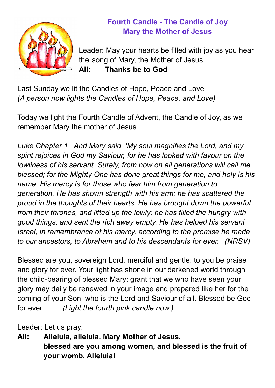

# **Fourth Candle - The Candle of Joy Mary the Mother of Jesus**

Leader: May your hearts be filled with joy as you hear the song of Mary, the Mother of Jesus. **All: Thanks be to God**

Last Sunday we lit the Candles of Hope, Peace and Love *(A person now lights the Candles of Hope, Peace, and Love)*

Today we light the Fourth Candle of Advent, the Candle of Joy, as we remember Mary the mother of Jesus

*Luke Chapter 1 And Mary said, 'My soul magnifies the Lord, and my spirit rejoices in God my Saviour, for he has looked with favour on the lowliness of his servant. Surely, from now on all generations will call me blessed; for the Mighty One has done great things for me, and holy is his name. His mercy is for those who fear him from generation to generation. He has shown strength with his arm; he has scattered the proud in the thoughts of their hearts. He has brought down the powerful from their thrones, and lifted up the lowly; he has filled the hungry with good things, and sent the rich away empty. He has helped his servant Israel, in remembrance of his mercy, according to the promise he made to our ancestors, to Abraham and to his descendants for ever.' (NRSV)*

Blessed are you, sovereign Lord, merciful and gentle: to you be praise and glory for ever. Your light has shone in our darkened world through the child-bearing of blessed Mary; grant that we who have seen your glory may daily be renewed in your image and prepared like her for the coming of your Son, who is the Lord and Saviour of all. Blessed be God for ever. *(Light the fourth pink candle now.)*

Leader: Let us pray:

**All: Alleluia, alleluia. Mary Mother of Jesus, blessed are you among women, and blessed is the fruit of your womb. Alleluia!**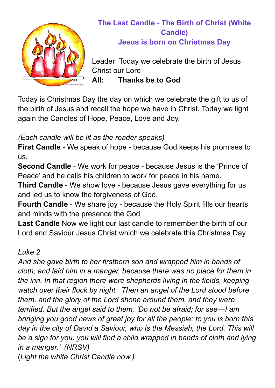

# **The Last Candle - The Birth of Christ (White Candle) Jesus is born on Christmas Day**

Leader: Today we celebrate the birth of Jesus Christ our Lord **All: Thanks be to God**

Today is Christmas Day the day on which we celebrate the gift to us of the birth of Jesus and recall the hope we have in Christ. Today we light again the Candles of Hope, Peace, Love and Joy.

# *(Each candle will be lit as the reader speaks)*

**First Candle** - We speak of hope - because God keeps his promises to us.

**Second Candle** - We work for peace - because Jesus is the 'Prince of Peace' and he calls his children to work for peace in his name.

**Third Candle** - We show love - because Jesus gave everything for us and led us to know the forgiveness of God.

**Fourth Candle** - We share joy - because the Holy Spirit fills our hearts and minds with the presence the God

**Last Candle** Now we light our last candle to remember the birth of our Lord and Saviour Jesus Christ which we celebrate this Christmas Day.

## *Luke 2*

*And she gave birth to her firstborn son and wrapped him in bands of cloth, and laid him in a manger, because there was no place for them in the inn. In that region there were shepherds living in the fields, keeping watch over their flock by night. Then an angel of the Lord stood before them, and the glory of the Lord shone around them, and they were terrified. But the angel said to them, 'Do not be afraid; for see—I am bringing you good news of great joy for all the people: to you is born this day in the city of David a Saviour, who is the Messiah, the Lord. This will be a sign for you: you will find a child wrapped in bands of cloth and lying in a manger.' (NRSV)* (*Light the white Christ Candle now.)*